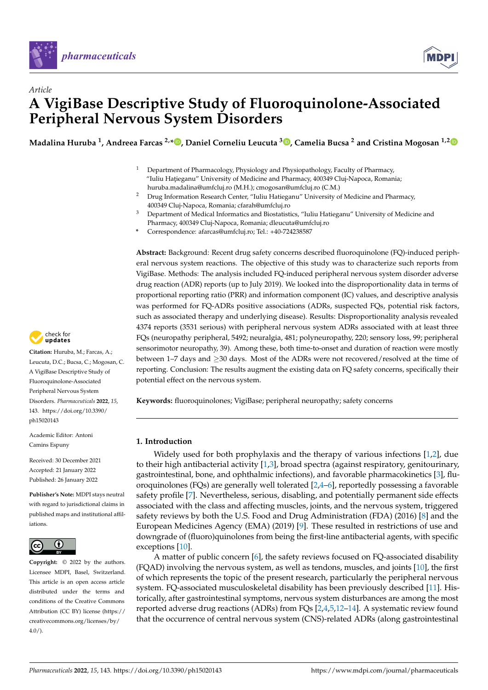



# *Article* **A VigiBase Descriptive Study of Fluoroquinolone-Associated Peripheral Nervous System Disorders**

**Madalina Huruba <sup>1</sup> , Andreea Farcas 2,[\\*](https://orcid.org/0000-0003-2109-8409) , Daniel Corneliu Leucuta <sup>3</sup> [,](https://orcid.org/0000-0003-4218-8622) Camelia Bucsa <sup>2</sup> and Cristina Mogosan 1,[2](https://orcid.org/0000-0002-6854-2194)**

- <sup>1</sup> Department of Pharmacology, Physiology and Physiopathology, Faculty of Pharmacy, "Iuliu Hațieganu" University of Medicine and Pharmacy, 400349 Cluj-Napoca, Romania; huruba.madalina@umfcluj.ro (M.H.); cmogosan@umfcluj.ro (C.M.)
- <sup>2</sup> Drug Information Research Center, "Iuliu Hatieganu" University of Medicine and Pharmacy, 400349 Cluj-Napoca, Romania; cfarah@umfcluj.ro
- <sup>3</sup> Department of Medical Informatics and Biostatistics, "Iuliu Hatieganu" University of Medicine and Pharmacy, 400349 Cluj-Napoca, Romania; dleucuta@umfcluj.ro
- **\*** Correspondence: afarcas@umfcluj.ro; Tel.: +40-724238587

**Abstract:** Background: Recent drug safety concerns described fluoroquinolone (FQ)-induced peripheral nervous system reactions. The objective of this study was to characterize such reports from VigiBase. Methods: The analysis included FQ-induced peripheral nervous system disorder adverse drug reaction (ADR) reports (up to July 2019). We looked into the disproportionality data in terms of proportional reporting ratio (PRR) and information component (IC) values, and descriptive analysis was performed for FQ-ADRs positive associations (ADRs, suspected FQs, potential risk factors, such as associated therapy and underlying disease). Results: Disproportionality analysis revealed 4374 reports (3531 serious) with peripheral nervous system ADRs associated with at least three FQs (neuropathy peripheral, 5492; neuralgia, 481; polyneuropathy, 220; sensory loss, 99; peripheral sensorimotor neuropathy, 39). Among these, both time-to-onset and duration of reaction were mostly between 1–7 days and ≥30 days. Most of the ADRs were not recovered/resolved at the time of reporting. Conclusion: The results augment the existing data on FQ safety concerns, specifically their potential effect on the nervous system.

**Keywords:** fluoroquinolones; VigiBase; peripheral neuropathy; safety concerns

# **1. Introduction**

Widely used for both prophylaxis and the therapy of various infections [\[1,](#page-9-0)[2\]](#page-9-1), due to their high antibacterial activity  $[1,3]$  $[1,3]$ , broad spectra (against respiratory, genitourinary, gastrointestinal, bone, and ophthalmic infections), and favorable pharmacokinetics [\[3\]](#page-9-2), fluoroquinolones (FQs) are generally well tolerated [\[2,](#page-9-1)[4](#page-9-3)[–6\]](#page-9-4), reportedly possessing a favorable safety profile [\[7\]](#page-9-5). Nevertheless, serious, disabling, and potentially permanent side effects associated with the class and affecting muscles, joints, and the nervous system, triggered safety reviews by both the U.S. Food and Drug Administration (FDA) (2016) [\[8\]](#page-9-6) and the European Medicines Agency (EMA) (2019) [\[9\]](#page-9-7). These resulted in restrictions of use and downgrade of (fluoro)quinolones from being the first-line antibacterial agents, with specific exceptions [\[10\]](#page-9-8).

A matter of public concern [\[6\]](#page-9-4), the safety reviews focused on FQ-associated disability (FQAD) involving the nervous system, as well as tendons, muscles, and joints [\[10\]](#page-9-8), the first of which represents the topic of the present research, particularly the peripheral nervous system. FQ-associated musculoskeletal disability has been previously described [\[11\]](#page-9-9). Historically, after gastrointestinal symptoms, nervous system disturbances are among the most reported adverse drug reactions (ADRs) from FQs [\[2,](#page-9-1)[4](#page-9-3)[,5](#page-9-10)[,12–](#page-9-11)[14\]](#page-9-12). A systematic review found that the occurrence of central nervous system (CNS)-related ADRs (along gastrointestinal



**Citation:** Huruba, M.; Farcas, A.; Leucuta, D.C.; Bucsa, C.; Mogosan, C. A VigiBase Descriptive Study of Fluoroquinolone-Associated Peripheral Nervous System Disorders. *Pharmaceuticals* **2022**, *15*, 143. [https://doi.org/10.3390/](https://doi.org/10.3390/ph15020143) [ph15020143](https://doi.org/10.3390/ph15020143)

Academic Editor: Antoni Camins Espuny

Received: 30 December 2021 Accepted: 21 January 2022 Published: 26 January 2022

**Publisher's Note:** MDPI stays neutral with regard to jurisdictional claims in published maps and institutional affiliations.



**Copyright:** © 2022 by the authors. Licensee MDPI, Basel, Switzerland. This article is an open access article distributed under the terms and conditions of the Creative Commons Attribution (CC BY) license [\(https://](https://creativecommons.org/licenses/by/4.0/) [creativecommons.org/licenses/by/](https://creativecommons.org/licenses/by/4.0/)  $4.0/$ ).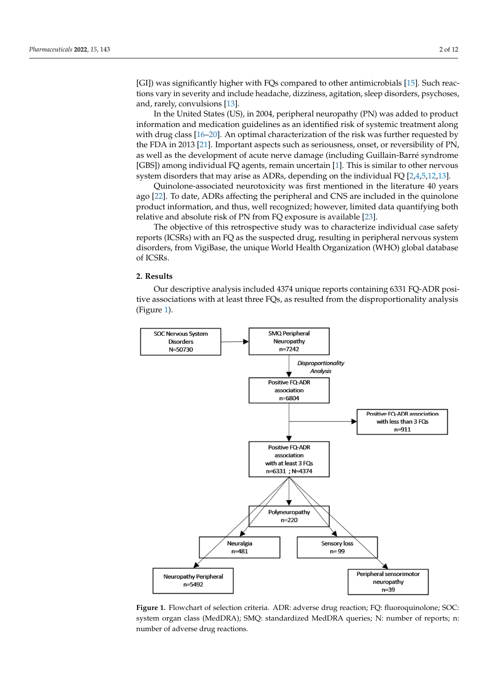[GI]) was significantly higher with FQs compared to other antimicrobials [\[15\]](#page-9-13). Such reactions vary in severity and include headache, dizziness, agitation, sleep disorders, psychoses, and, rarely, convulsions [\[13\]](#page-9-14). Such reactions variantly in severity when  $\infty$  compared to other antimerophas [15]. Such reac-

In the United States (US), in 2004, peripheral neuropathy (PN) was added to product In the United States (US), in 2004, peripheral neuropathy (PN) was added to product information and medication guidelines as an identified risk of systemic treatment along information and medication guidelines as an identified risk of systemic treatment along with drug class [\[16–](#page-9-15)[20\]](#page-9-16). An optimal characterization of the risk was further requested by with drug class [16–20]. An optimal characterization of the risk was further requested by the FDA in 2013 [\[21\]](#page-9-17). Important aspects such as seriousness, onset, or reversibility of PN, the FDA in 2013 [21]. Important aspects such as seriousness, onset, or reversibility of PN, as well as the development of acute nerve damage (including Guillain-Barré syndrome as well as the development of acute nerve damage (including Guillain-Barré syndrome [GBS]) among individual FQ agents, remain uncertain [\[1\]](#page-9-0). This is similar to other nervous [GBS]) among individual FQ agents, remain uncertain [1]. This is similar to other nervous system disorders that may arise as ADRs, depending on the individual FQ [\[2,](#page-9-1)[4,](#page-9-3)[5,](#page-9-10)[12](#page-9-11)[,13\]](#page-9-14). system disorders that may arise as ADRs, depending on the individual FQ [2,4,5,12,13].

Quinolone-associated neurotoxicity was first mentioned in the literature 40 years Quinolone-associated neurotoxicity was first mentioned in the literature 40 years ago ago [\[22\]](#page-9-18). To date, ADRs affecting the peripheral and CNS are included in the quinolone product information, and thus, well recognized; however, limited data quantifying both relative and absolute risk of PN from FQ exposure is available [\[23\]](#page-10-0). tive and absolute risk of PN from FQ exposure is available [23].

The objective of this retrospective study was to characterize individual case safety The objective of this retrospective study was to characterize individual case safety reports (ICSRs) with an FQ as the suspected drug, resulting in peripheral nervous system reports (ICSRs) with an FQ as the suspected drug, resulting in peripheral nervous system disorders, from VigiBase, the unique World Health Organization (WHO) global database disorders, from VigiBase, the unique World Health Organization (WHO) global database of ICSRs. of ICSRs.

# **2. Results 2. Results**

Our descriptive analysis included 4374 unique reports containing 6331 FQ-ADR positive associations with at least three FQs, as resulted from the disproportionality analysis (Figure 1). (Figure [1\)](#page-1-0).

<span id="page-1-0"></span>

**Figure 1.** Flowchart of selection criteria. ADR: adverse drug reaction; FQ: fluoroquinolone; SOC: system organ class (MedDRA); SMQ: standardized MedDRA queries; N: number of reports; n: number of adverse drug reactions.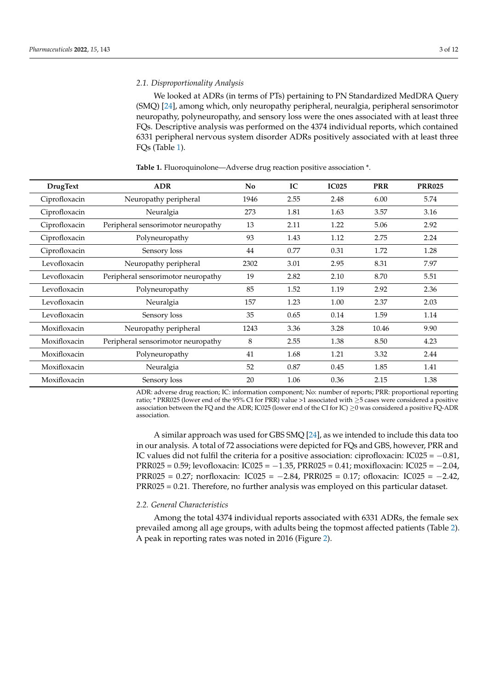## *2.1. Disproportionality Analysis*

We looked at ADRs (in terms of PTs) pertaining to PN Standardized MedDRA Query (SMQ) [\[24\]](#page-10-1), among which, only neuropathy peripheral, neuralgia, peripheral sensorimotor neuropathy, polyneuropathy, and sensory loss were the ones associated with at least three FQs. Descriptive analysis was performed on the 4374 individual reports, which contained 6331 peripheral nervous system disorder ADRs positively associated with at least three FQs (Table [1\)](#page-2-0).

| <b>DrugText</b> | <b>ADR</b>                         | N <sub>0</sub> | IC   | <b>IC025</b> | <b>PRR</b> | <b>PRR025</b> |
|-----------------|------------------------------------|----------------|------|--------------|------------|---------------|
| Ciprofloxacin   | Neuropathy peripheral              | 1946           | 2.55 | 2.48         | 6.00       | 5.74          |
| Ciprofloxacin   | Neuralgia                          | 273            | 1.81 | 1.63         | 3.57       | 3.16          |
| Ciprofloxacin   | Peripheral sensorimotor neuropathy | 13             | 2.11 | 1.22         | 5.06       | 2.92          |
| Ciprofloxacin   | Polyneuropathy                     | 93             | 1.43 | 1.12         | 2.75       | 2.24          |
| Ciprofloxacin   | Sensory loss                       | 44             | 0.77 | 0.31         | 1.72       | 1.28          |
| Levofloxacin    | Neuropathy peripheral              | 2302           | 3.01 | 2.95         | 8.31       | 7.97          |
| Levofloxacin    | Peripheral sensorimotor neuropathy | 19             | 2.82 | 2.10         | 8.70       | 5.51          |
| Levofloxacin    | Polyneuropathy                     | 85             | 1.52 | 1.19         | 2.92       | 2.36          |
| Levofloxacin    | Neuralgia                          | 157            | 1.23 | 1.00         | 2.37       | 2.03          |
| Levofloxacin    | Sensory loss                       | 35             | 0.65 | 0.14         | 1.59       | 1.14          |
| Moxifloxacin    | Neuropathy peripheral              | 1243           | 3.36 | 3.28         | 10.46      | 9.90          |
| Moxifloxacin    | Peripheral sensorimotor neuropathy | 8              | 2.55 | 1.38         | 8.50       | 4.23          |
| Moxifloxacin    | Polyneuropathy                     | 41             | 1.68 | 1.21         | 3.32       | 2.44          |
| Moxifloxacin    | Neuralgia                          | 52             | 0.87 | 0.45         | 1.85       | 1.41          |
| Moxifloxacin    | Sensory loss                       | 20             | 1.06 | 0.36         | 2.15       | 1.38          |

<span id="page-2-0"></span>**Table 1.** Fluoroquinolone—Adverse drug reaction positive association \*.

ADR: adverse drug reaction; IC: information component; No: number of reports; PRR: proportional reporting ratio; \* PRR025 (lower end of the 95% CI for PRR) value >1 associated with ≥5 cases were considered a positive association between the FQ and the ADR; IC025 (lower end of the CI for IC) ≥0 was considered a positive FQ-ADR association.

A similar approach was used for GBS SMQ [\[24\]](#page-10-1), as we intended to include this data too in our analysis. A total of 72 associations were depicted for FQs and GBS, however, PRR and IC values did not fulfil the criteria for a positive association: ciprofloxacin: IC025 =  $-0.81$ , PRR025 = 0.59; levofloxacin: IC025 =  $-1.35$ , PRR025 = 0.41; moxifloxacin: IC025 =  $-2.04$ , PRR025 = 0.27; norfloxacin: IC025 = −2.84, PRR025 = 0.17; ofloxacin: IC025 = −2.42, PRR025 = 0.21. Therefore, no further analysis was employed on this particular dataset.

#### *2.2. General Characteristics*

Among the total 4374 individual reports associated with 6331 ADRs, the female sex prevailed among all age groups, with adults being the topmost affected patients (Table [2\)](#page-3-0). A peak in reporting rates was noted in 2016 (Figure [2\)](#page-3-1).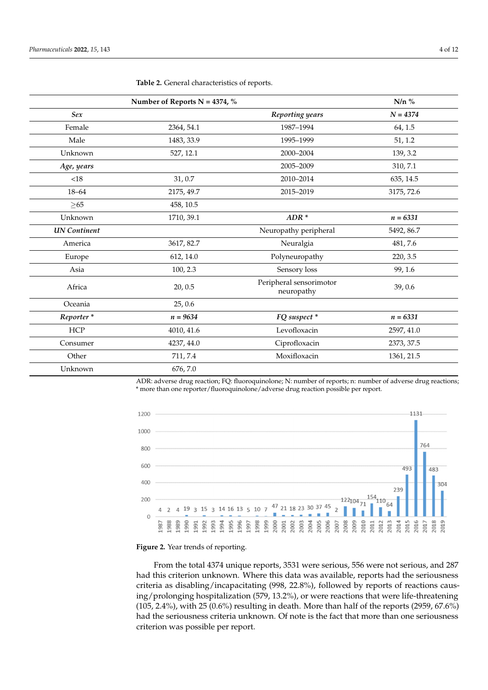|                       | Number of Reports N = 4374, $%$ |                                       | $N/n$ %    |
|-----------------------|---------------------------------|---------------------------------------|------------|
| Sex                   |                                 | Reporting years                       | $N = 4374$ |
| Female                | 2364, 54.1                      | 1987-1994                             | 64, 1.5    |
| Male                  | 1483, 33.9                      | 1995-1999                             | 51, 1.2    |
| Unknown               | 527, 12.1                       | 2000-2004                             | 139, 3.2   |
| Age, years            |                                 | 2005-2009                             | 310, 7.1   |
| <18                   | 31,0.7                          | 2010-2014                             | 635, 14.5  |
| $18 - 64$             | 2175, 49.7                      | 2015-2019                             | 3175, 72.6 |
| $\geq 65$             | 458, 10.5                       |                                       |            |
| Unknown               | 1710, 39.1                      | $ADR*$                                | $n = 6331$ |
| <b>UN</b> Continent   |                                 | Neuropathy peripheral                 | 5492, 86.7 |
| America               | 3617, 82.7                      | Neuralgia                             | 481, 7.6   |
| Europe                | 612, 14.0                       | Polyneuropathy                        | 220, 3.5   |
| Asia                  | 100, 2.3                        | Sensory loss                          | 99, 1.6    |
| Africa                | 20, 0.5                         | Peripheral sensorimotor<br>neuropathy | 39,0.6     |
| Oceania               | 25, 0.6                         |                                       |            |
| Reporter <sup>*</sup> | $n = 9634$                      | FQ suspect *                          | $n = 6331$ |
| <b>HCP</b>            | 4010, 41.6                      | Levofloxacin                          | 2597, 41.0 |
| Consumer              | 4237, 44.0                      | Ciprofloxacin                         | 2373, 37.5 |
| Other                 | 711, 7.4                        | Moxifloxacin                          | 1361, 21.5 |
| Unknown               | 676, 7.0                        |                                       |            |

<span id="page-3-0"></span>**Table 2.** General characteristics of reports.

ADR: adverse drug reaction; FQ: fluoroquinolone; N: number of reports; n: number of adverse drug reactions; \* more than one reporter/fluoroquinolone/adverse drug reaction possible per report.

<span id="page-3-1"></span>

**Figure 2.** Year trends of reporting*.* **Figure 2.** Year trends of reporting.

From the total 4374 unique reports, 3531 were serious, 556 were not serious, and 287 From the total 4374 unique reports, 3531 were serious, 556 were not serious, and 287 had this criterion unknown. Where this data was available, reports had the seriousness criteria as disabling/incapacitating (998, 22.8%), followed by reports of reactions caus-criteria as disabling/incapacitating (998, 22.8%), followed by reports of reactions causing/prolonging hospitalization (579, 13.2%), or were reactions that were life-threatening ing/prolonging hospitalization (579, 13.2%), or were reactions that were life-threatening (105, 2.4%), with 25 (0.6%) resulting in death. More than half of the reports (2959, 67.6%) (105, 2.4%), with 25 (0.6%) resulting in death. More than half of the reports (2959, 67.6%) had the seriousness criteria unknown. Of note is the fact that more than one seriousness criterion was possible per report. criterion was possible per report.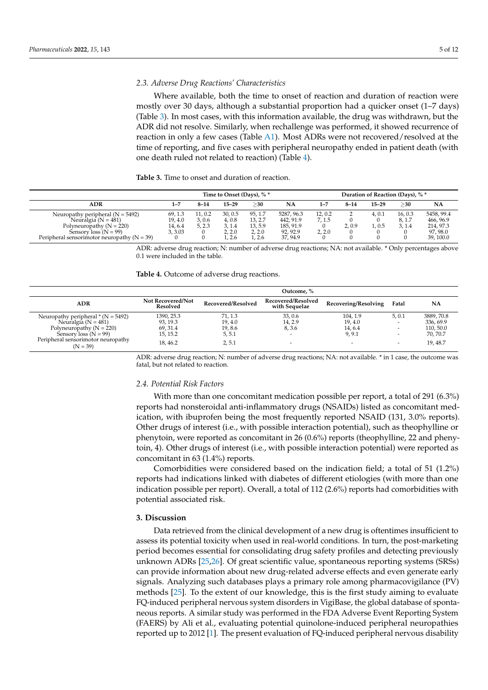## *2.3. Adverse Drug Reactions' Characteristics*

Where available, both the time to onset of reaction and duration of reaction were mostly over 30 days, although a substantial proportion had a quicker onset (1–7 days) (Table [3\)](#page-4-0). In most cases, with this information available, the drug was withdrawn, but the ADR did not resolve. Similarly, when rechallenge was performed, it showed recurrence of reaction in only a few cases (Table [A1\)](#page-8-0). Most ADRs were not recovered/resolved at the time of reporting, and five cases with peripheral neuropathy ended in patient death (with one death ruled not related to reaction) (Table [4\)](#page-4-1).

<span id="page-4-0"></span>**Table 3.** Time to onset and duration of reaction.

|                                                                                                                                                                             | Time to Onset (Days), % *               |                                     |                                           |                                                   | Duration of Reaction (Days), % *                             |                          |            |                 |                             |                                                              |
|-----------------------------------------------------------------------------------------------------------------------------------------------------------------------------|-----------------------------------------|-------------------------------------|-------------------------------------------|---------------------------------------------------|--------------------------------------------------------------|--------------------------|------------|-----------------|-----------------------------|--------------------------------------------------------------|
| ADR                                                                                                                                                                         | 1–7                                     | $8 - 14$                            | $15 - 29$                                 | >30                                               | <b>NA</b>                                                    | $1 - 7$                  | $8 - 14$   | $15 - 29$       | >30                         | NA                                                           |
| Neuropathy peripheral $(N = 5492)$<br>Neuralgia ( $N = 481$ )<br>Polyneuropathy ( $N = 220$ )<br>Sensory $loss (N = 99)$<br>Peripheral sensorimotor neuropathy ( $N = 39$ ) | 69.1.3<br>19, 4.0<br>14, 6.4<br>3, 3.03 | 11.0.2<br>3,0.6<br>5, 2.3<br>0<br>0 | 30, 0.5<br>4.0.8<br>3.1.4<br>2.2.0<br>2.6 | 95, 1.7<br>13, 2.7<br>13, 5.9<br>2, 2.0<br>1, 2.6 | 5287, 96.3<br>442, 91.9<br>185, 91.9<br>92, 92.9<br>37, 94.9 | 12.0.2<br>7.1.5<br>2.2.0 | 2.0.9<br>0 | 4.0.1<br>l. 0.5 | 16, 0.3<br>8, 1.7<br>3, 1.4 | 5458, 99.4<br>466, 96.9<br>214, 97.3<br>97,98.0<br>39, 100.0 |

ADR: adverse drug reaction; N: number of adverse drug reactions; NA: not available. \* Only percentages above 0.1 were included in the table.

<span id="page-4-1"></span>**Table 4.** Outcome of adverse drug reactions.

|                                                         | Outcome. %                    |                    |                                     |                      |                                                      |                       |  |
|---------------------------------------------------------|-------------------------------|--------------------|-------------------------------------|----------------------|------------------------------------------------------|-----------------------|--|
| <b>ADR</b>                                              | Not Recovered/Not<br>Resolved | Recovered/Resolved | Recovered/Resolved<br>with Sequelae | Recovering/Resolving | Fatal                                                | <b>NA</b>             |  |
| Neuropathy peripheral $*(N = 5492)$                     | 1390, 25.3                    | 71, 1.3            | 33, 0.6                             | 104.1.9              | 5,0.1                                                | 3889.70.8             |  |
| Neuralgia ( $N = 481$ )<br>Polyneuropathy ( $N = 220$ ) | 93, 19.3<br>69, 31.4          | 19, 4.0<br>19,8.6  | 14, 2.9<br>8, 3.6                   | 19, 4.0<br>14, 6.4   | $\overline{\phantom{0}}$<br>$\overline{\phantom{0}}$ | 336, 69.9<br>110,50.0 |  |
| Sensory loss $(N = 99)$                                 | 15, 15.2                      | 5, 5.1             | $\overline{\phantom{a}}$            | 9, 9.1               |                                                      | 70, 70.7              |  |
| Peripheral sensorimotor neuropathy<br>$(N = 39)$        | 18.46.2                       | 2, 5.1             |                                     | -                    | $\overline{\phantom{0}}$                             | 19, 48.7              |  |

ADR: adverse drug reaction; N: number of adverse drug reactions; NA: not available. \* in 1 case, the outcome was fatal, but not related to reaction.

## *2.4. Potential Risk Factors*

With more than one concomitant medication possible per report, a total of 291 (6.3%) reports had nonsteroidal anti-inflammatory drugs (NSAIDs) listed as concomitant medication, with ibuprofen being the most frequently reported NSAID (131, 3.0% reports). Other drugs of interest (i.e., with possible interaction potential), such as theophylline or phenytoin, were reported as concomitant in 26 (0.6%) reports (theophylline, 22 and phenytoin, 4). Other drugs of interest (i.e., with possible interaction potential) were reported as concomitant in 63 (1.4%) reports.

Comorbidities were considered based on the indication field; a total of 51 (1.2%) reports had indications linked with diabetes of different etiologies (with more than one indication possible per report). Overall, a total of 112 (2.6%) reports had comorbidities with potential associated risk.

# **3. Discussion**

Data retrieved from the clinical development of a new drug is oftentimes insufficient to assess its potential toxicity when used in real-world conditions. In turn, the post-marketing period becomes essential for consolidating drug safety profiles and detecting previously unknown ADRs [\[25](#page-10-2)[,26\]](#page-10-3). Of great scientific value, spontaneous reporting systems (SRSs) can provide information about new drug-related adverse effects and even generate early signals. Analyzing such databases plays a primary role among pharmacovigilance (PV) methods [\[25\]](#page-10-2). To the extent of our knowledge, this is the first study aiming to evaluate FQ-induced peripheral nervous system disorders in VigiBase, the global database of spontaneous reports. A similar study was performed in the FDA Adverse Event Reporting System (FAERS) by Ali et al., evaluating potential quinolone-induced peripheral neuropathies reported up to 2012 [\[1\]](#page-9-0). The present evaluation of FQ-induced peripheral nervous disability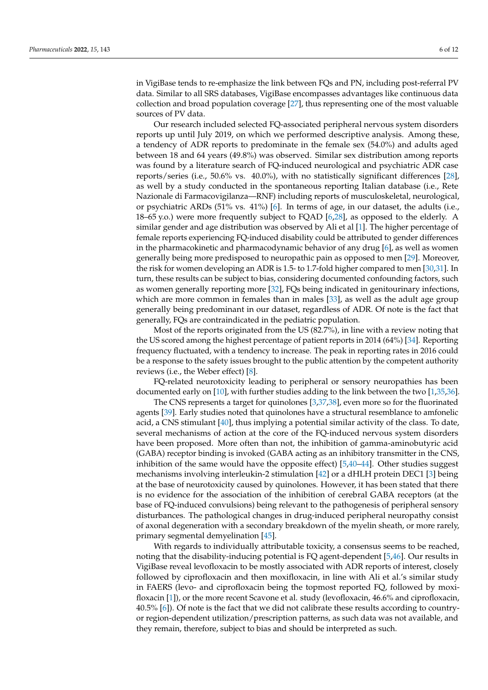in VigiBase tends to re-emphasize the link between FQs and PN, including post-referral PV data. Similar to all SRS databases, VigiBase encompasses advantages like continuous data collection and broad population coverage [\[27\]](#page-10-4), thus representing one of the most valuable sources of PV data.

Our research included selected FQ-associated peripheral nervous system disorders reports up until July 2019, on which we performed descriptive analysis. Among these, a tendency of ADR reports to predominate in the female sex (54.0%) and adults aged between 18 and 64 years (49.8%) was observed. Similar sex distribution among reports was found by a literature search of FQ-induced neurological and psychiatric ADR case reports/series (i.e., 50.6% vs. 40.0%), with no statistically significant differences [\[28\]](#page-10-5), as well by a study conducted in the spontaneous reporting Italian database (i.e., Rete Nazionale di Farmacovigilanza—RNF) including reports of musculoskeletal, neurological, or psychiatric ARDs (51% vs. 41%) [\[6\]](#page-9-4). In terms of age, in our dataset, the adults (i.e., 18–65 y.o.) were more frequently subject to FQAD [\[6,](#page-9-4)[28\]](#page-10-5), as opposed to the elderly. A similar gender and age distribution was observed by Ali et al [\[1\]](#page-9-0). The higher percentage of female reports experiencing FQ-induced disability could be attributed to gender differences in the pharmacokinetic and pharmacodynamic behavior of any drug [\[6\]](#page-9-4), as well as women generally being more predisposed to neuropathic pain as opposed to men [\[29\]](#page-10-6). Moreover, the risk for women developing an ADR is 1.5- to 1.7-fold higher compared to men [\[30,](#page-10-7)[31\]](#page-10-8). In turn, these results can be subject to bias, considering documented confounding factors, such as women generally reporting more [\[32\]](#page-10-9), FQs being indicated in genitourinary infections, which are more common in females than in males [\[33\]](#page-10-10), as well as the adult age group generally being predominant in our dataset, regardless of ADR. Of note is the fact that generally, FQs are contraindicated in the pediatric population.

Most of the reports originated from the US (82.7%), in line with a review noting that the US scored among the highest percentage of patient reports in 2014 (64%) [\[34\]](#page-10-11). Reporting frequency fluctuated, with a tendency to increase. The peak in reporting rates in 2016 could be a response to the safety issues brought to the public attention by the competent authority reviews (i.e., the Weber effect) [\[8\]](#page-9-6).

FQ-related neurotoxicity leading to peripheral or sensory neuropathies has been documented early on [\[10\]](#page-9-8), with further studies adding to the link between the two [\[1,](#page-9-0)[35](#page-10-12)[,36\]](#page-10-13).

The CNS represents a target for quinolones [\[3,](#page-9-2)[37](#page-10-14)[,38\]](#page-10-15), even more so for the fluorinated agents [\[39\]](#page-10-16). Early studies noted that quinolones have a structural resemblance to amfonelic acid, a CNS stimulant [\[40\]](#page-10-17), thus implying a potential similar activity of the class. To date, several mechanisms of action at the core of the FQ-induced nervous system disorders have been proposed. More often than not, the inhibition of gamma-aminobutyric acid (GABA) receptor binding is invoked (GABA acting as an inhibitory transmitter in the CNS, inhibition of the same would have the opposite effect)  $[5,40-44]$  $[5,40-44]$  $[5,40-44]$ . Other studies suggest mechanisms involving interleukin-2 stimulation [\[42\]](#page-10-19) or a dHLH protein DEC1 [\[3\]](#page-9-2) being at the base of neurotoxicity caused by quinolones. However, it has been stated that there is no evidence for the association of the inhibition of cerebral GABA receptors (at the base of FQ-induced convulsions) being relevant to the pathogenesis of peripheral sensory disturbances. The pathological changes in drug-induced peripheral neuropathy consist of axonal degeneration with a secondary breakdown of the myelin sheath, or more rarely, primary segmental demyelination [\[45\]](#page-10-20).

With regards to individually attributable toxicity, a consensus seems to be reached, noting that the disability-inducing potential is FQ agent-dependent [\[5,](#page-9-10)[46\]](#page-10-21). Our results in VigiBase reveal levofloxacin to be mostly associated with ADR reports of interest, closely followed by ciprofloxacin and then moxifloxacin, in line with Ali et al.'s similar study in FAERS (levo- and ciprofloxacin being the topmost reported FQ, followed by moxifloxacin [\[1\]](#page-9-0)), or the more recent Scavone et al. study (levofloxacin, 46.6% and ciprofloxacin, 40.5% [\[6\]](#page-9-4)). Of note is the fact that we did not calibrate these results according to countryor region-dependent utilization/prescription patterns, as such data was not available, and they remain, therefore, subject to bias and should be interpreted as such.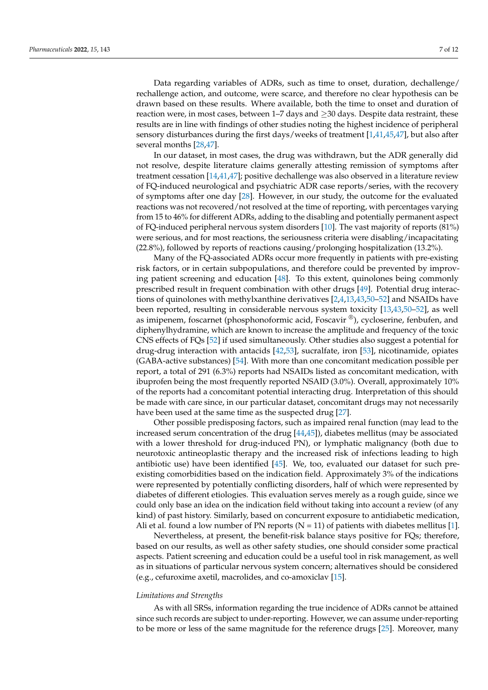Data regarding variables of ADRs, such as time to onset, duration, dechallenge/ rechallenge action, and outcome, were scarce, and therefore no clear hypothesis can be drawn based on these results. Where available, both the time to onset and duration of reaction were, in most cases, between  $1–7$  days and  $\geq 30$  days. Despite data restraint, these results are in line with findings of other studies noting the highest incidence of peripheral sensory disturbances during the first days/weeks of treatment [\[1](#page-9-0)[,41](#page-10-22)[,45](#page-10-20)[,47\]](#page-10-23), but also after several months [\[28,](#page-10-5)[47\]](#page-10-23).

In our dataset, in most cases, the drug was withdrawn, but the ADR generally did not resolve, despite literature claims generally attesting remission of symptoms after treatment cessation [\[14](#page-9-12)[,41,](#page-10-22)[47\]](#page-10-23); positive dechallenge was also observed in a literature review of FQ-induced neurological and psychiatric ADR case reports/series, with the recovery of symptoms after one day [\[28\]](#page-10-5). However, in our study, the outcome for the evaluated reactions was not recovered/not resolved at the time of reporting, with percentages varying from 15 to 46% for different ADRs, adding to the disabling and potentially permanent aspect of FQ-induced peripheral nervous system disorders [\[10\]](#page-9-8). The vast majority of reports (81%) were serious, and for most reactions, the seriousness criteria were disabling/incapacitating (22.8%), followed by reports of reactions causing/prolonging hospitalization (13.2%).

Many of the FQ-associated ADRs occur more frequently in patients with pre-existing risk factors, or in certain subpopulations, and therefore could be prevented by improving patient screening and education [\[48\]](#page-10-24). To this extent, quinolones being commonly prescribed result in frequent combination with other drugs [\[49\]](#page-10-25). Potential drug interactions of quinolones with methylxanthine derivatives [\[2,](#page-9-1)[4,](#page-9-3)[13,](#page-9-14)[43](#page-10-26)[,50](#page-10-27)[–52\]](#page-10-28) and NSAIDs have been reported, resulting in considerable nervous system toxicity [\[13](#page-9-14)[,43,](#page-10-26)[50](#page-10-27)[–52\]](#page-10-28), as well as imipenem, foscarnet (phosphonoformic acid, Foscavir ®), cycloserine, fenbufen, and diphenylhydramine, which are known to increase the amplitude and frequency of the toxic CNS effects of FQs [\[52\]](#page-10-28) if used simultaneously. Other studies also suggest a potential for drug-drug interaction with antacids [\[42](#page-10-19)[,53\]](#page-10-29), sucralfate, iron [\[53\]](#page-10-29), nicotinamide, opiates (GABA-active substances) [\[54\]](#page-10-30). With more than one concomitant medication possible per report, a total of 291 (6.3%) reports had NSAIDs listed as concomitant medication, with ibuprofen being the most frequently reported NSAID (3.0%). Overall, approximately 10% of the reports had a concomitant potential interacting drug. Interpretation of this should be made with care since, in our particular dataset, concomitant drugs may not necessarily have been used at the same time as the suspected drug [\[27\]](#page-10-4).

Other possible predisposing factors, such as impaired renal function (may lead to the increased serum concentration of the drug [\[44,](#page-10-18)[45\]](#page-10-20)), diabetes mellitus (may be associated with a lower threshold for drug-induced PN), or lymphatic malignancy (both due to neurotoxic antineoplastic therapy and the increased risk of infections leading to high antibiotic use) have been identified [\[45\]](#page-10-20). We, too, evaluated our dataset for such preexisting comorbidities based on the indication field. Approximately 3% of the indications were represented by potentially conflicting disorders, half of which were represented by diabetes of different etiologies. This evaluation serves merely as a rough guide, since we could only base an idea on the indication field without taking into account a review (of any kind) of past history. Similarly, based on concurrent exposure to antidiabetic medication, Ali et al. found a low number of PN reports  $(N = 11)$  of patients with diabetes mellitus [\[1\]](#page-9-0).

Nevertheless, at present, the benefit-risk balance stays positive for FQs; therefore, based on our results, as well as other safety studies, one should consider some practical aspects. Patient screening and education could be a useful tool in risk management, as well as in situations of particular nervous system concern; alternatives should be considered (e.g., cefuroxime axetil, macrolides, and co-amoxiclav [\[15\]](#page-9-13).

## *Limitations and Strengths*

As with all SRSs, information regarding the true incidence of ADRs cannot be attained since such records are subject to under-reporting. However, we can assume under-reporting to be more or less of the same magnitude for the reference drugs [\[25\]](#page-10-2). Moreover, many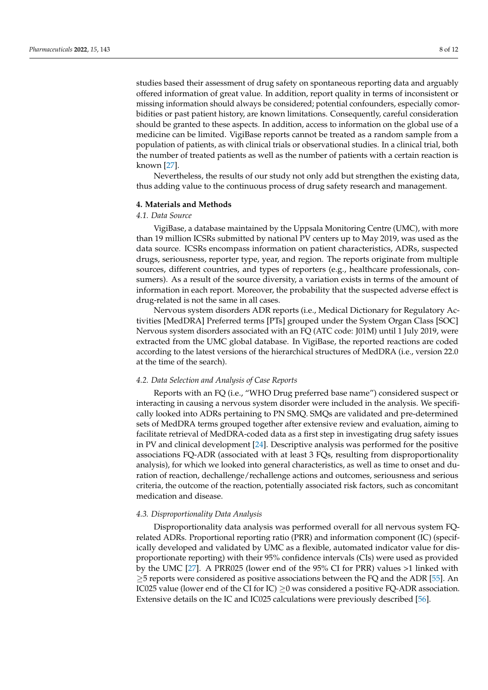studies based their assessment of drug safety on spontaneous reporting data and arguably offered information of great value. In addition, report quality in terms of inconsistent or missing information should always be considered; potential confounders, especially comorbidities or past patient history, are known limitations. Consequently, careful consideration should be granted to these aspects. In addition, access to information on the global use of a medicine can be limited. VigiBase reports cannot be treated as a random sample from a population of patients, as with clinical trials or observational studies. In a clinical trial, both the number of treated patients as well as the number of patients with a certain reaction is known [\[27\]](#page-10-4).

Nevertheless, the results of our study not only add but strengthen the existing data, thus adding value to the continuous process of drug safety research and management.

#### **4. Materials and Methods**

#### *4.1. Data Source*

VigiBase, a database maintained by the Uppsala Monitoring Centre (UMC), with more than 19 million ICSRs submitted by national PV centers up to May 2019, was used as the data source. ICSRs encompass information on patient characteristics, ADRs, suspected drugs, seriousness, reporter type, year, and region. The reports originate from multiple sources, different countries, and types of reporters (e.g., healthcare professionals, consumers). As a result of the source diversity, a variation exists in terms of the amount of information in each report. Moreover, the probability that the suspected adverse effect is drug-related is not the same in all cases.

Nervous system disorders ADR reports (i.e., Medical Dictionary for Regulatory Activities [MedDRA] Preferred terms [PTs] grouped under the System Organ Class [SOC] Nervous system disorders associated with an FQ (ATC code: J01M) until 1 July 2019, were extracted from the UMC global database. In VigiBase, the reported reactions are coded according to the latest versions of the hierarchical structures of MedDRA (i.e., version 22.0 at the time of the search).

#### *4.2. Data Selection and Analysis of Case Reports*

Reports with an FQ (i.e., "WHO Drug preferred base name") considered suspect or interacting in causing a nervous system disorder were included in the analysis. We specifically looked into ADRs pertaining to PN SMQ. SMQs are validated and pre-determined sets of MedDRA terms grouped together after extensive review and evaluation, aiming to facilitate retrieval of MedDRA-coded data as a first step in investigating drug safety issues in PV and clinical development [\[24\]](#page-10-1). Descriptive analysis was performed for the positive associations FQ-ADR (associated with at least 3 FQs, resulting from disproportionality analysis), for which we looked into general characteristics, as well as time to onset and duration of reaction, dechallenge/rechallenge actions and outcomes, seriousness and serious criteria, the outcome of the reaction, potentially associated risk factors, such as concomitant medication and disease.

## *4.3. Disproportionality Data Analysis*

Disproportionality data analysis was performed overall for all nervous system FQrelated ADRs. Proportional reporting ratio (PRR) and information component (IC) (specifically developed and validated by UMC as a flexible, automated indicator value for disproportionate reporting) with their 95% confidence intervals (CIs) were used as provided by the UMC [\[27\]](#page-10-4). A PRR025 (lower end of the 95% CI for PRR) values >1 linked with  $\geq$ 5 reports were considered as positive associations between the FQ and the ADR [\[55\]](#page-11-0). An IC025 value (lower end of the CI for IC)  $\geq$ 0 was considered a positive FQ-ADR association. Extensive details on the IC and IC025 calculations were previously described [\[56\]](#page-11-1).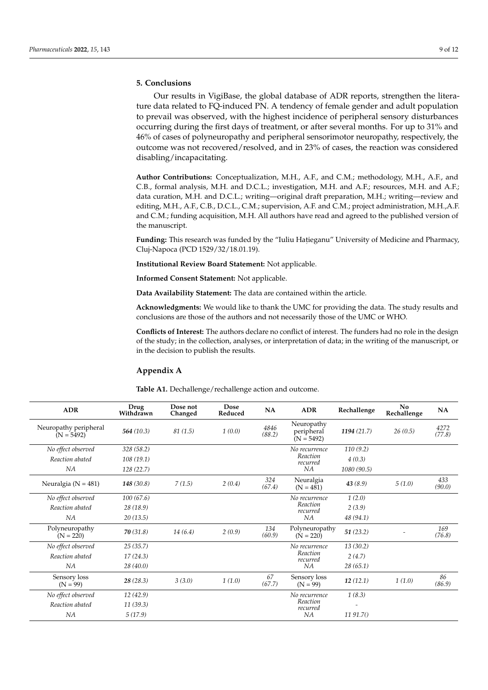# **5. Conclusions**

Our results in VigiBase, the global database of ADR reports, strengthen the literature data related to FQ-induced PN. A tendency of female gender and adult population to prevail was observed, with the highest incidence of peripheral sensory disturbances occurring during the first days of treatment, or after several months. For up to 31% and 46% of cases of polyneuropathy and peripheral sensorimotor neuropathy, respectively, the outcome was not recovered/resolved, and in 23% of cases, the reaction was considered disabling/incapacitating.

**Author Contributions:** Conceptualization, M.H., A.F., and C.M.; methodology, M.H., A.F., and C.B., formal analysis, M.H. and D.C.L.; investigation, M.H. and A.F.; resources, M.H. and A.F.; data curation, M.H. and D.C.L.; writing—original draft preparation, M.H.; writing—review and editing, M.H., A.F., C.B., D.C.L., C.M.; supervision, A.F. and C.M.; project administration, M.H.,A.F. and C.M.; funding acquisition, M.H. All authors have read and agreed to the published version of the manuscript.

Funding: This research was funded by the "Iuliu Hatieganu" University of Medicine and Pharmacy, Cluj-Napoca (PCD 1529/32/18.01.19).

**Institutional Review Board Statement:** Not applicable.

**Informed Consent Statement:** Not applicable.

**Data Availability Statement:** The data are contained within the article.

**Acknowledgments:** We would like to thank the UMC for providing the data. The study results and conclusions are those of the authors and not necessarily those of the UMC or WHO.

**Conflicts of Interest:** The authors declare no conflict of interest. The funders had no role in the design of the study; in the collection, analyses, or interpretation of data; in the writing of the manuscript, or in the decision to publish the results.

# **Appendix A**

| <b>ADR</b>                            | Drug<br>Withdrawn | Dose not<br>Changed | Dose<br>Reduced | <b>NA</b>      | <b>ADR</b>                               | Rechallenge | No<br>Rechallenge | <b>NA</b>      |
|---------------------------------------|-------------------|---------------------|-----------------|----------------|------------------------------------------|-------------|-------------------|----------------|
| Neuropathy peripheral<br>$(N = 5492)$ | 564(10.3)         | 81(1.5)             | 1(0.0)          | 4846<br>(88.2) | Neuropathy<br>peripheral<br>$(N = 5492)$ | 1194(21.7)  | 26(0.5)           | 4272<br>(77.8) |
| No effect observed                    | 328 (58.2)        |                     |                 |                | No recurrence                            | 110(9.2)    |                   |                |
| Reaction abated                       | 108(19.1)         |                     |                 |                | Reaction<br>recurred                     | 4(0.3)      |                   |                |
| NA                                    | 128 (22.7)        |                     |                 |                | NA                                       | 1080 (90.5) |                   |                |
| Neuralgia ( $N = 481$ )               | 148(30.8)         | 7(1.5)              | 2(0.4)          | 324<br>(67.4)  | Neuralgia<br>$(N = 481)$                 | 43(8.9)     | 5(1.0)            | 433<br>(90.0)  |
| No effect observed                    | 100(67.6)         |                     |                 |                | No recurrence                            | 1(2.0)      |                   |                |
| Reaction abated                       | 28(18.9)          |                     |                 |                | Reaction<br>recurred                     | 2(3.9)      |                   |                |
| NA                                    | 20(13.5)          |                     |                 |                | NA                                       | 48 (94.1)   |                   |                |
| Polyneuropathy<br>$(N = 220)$         | 70(31.8)          | 14(6.4)             | 2(0.9)          | 134<br>(60.9)  | Polyneuropathy<br>$(N = 220)$            | 51(23.2)    |                   | 169<br>(76.8)  |
| No effect observed                    | 25(35.7)          |                     |                 |                | No recurrence                            | 13(30.2)    |                   |                |
| Reaction abated                       | 17(24.3)          |                     |                 |                | Reaction<br>recurred                     | 2(4.7)      |                   |                |
| NA                                    | 28(40.0)          |                     |                 |                | NA                                       | 28(65.1)    |                   |                |
| Sensory loss<br>$(N = 99)$            | 28(28.3)          | 3(3.0)              | 1(1.0)          | 67<br>(67.7)   | Sensory loss<br>$(N = 99)$               | 12(12.1)    | 1(1.0)            | 86<br>(86.9)   |
| No effect observed                    | 12(42.9)          |                     |                 |                | No recurrence                            | 1(8.3)      |                   |                |
| Reaction abated                       | 11(39.3)          |                     |                 |                | Reaction<br>recurred                     |             |                   |                |
| NA                                    | 5(17.9)           |                     |                 |                | NA                                       | 1191.7()    |                   |                |

<span id="page-8-0"></span>**Table A1.** Dechallenge/rechallenge action and outcome.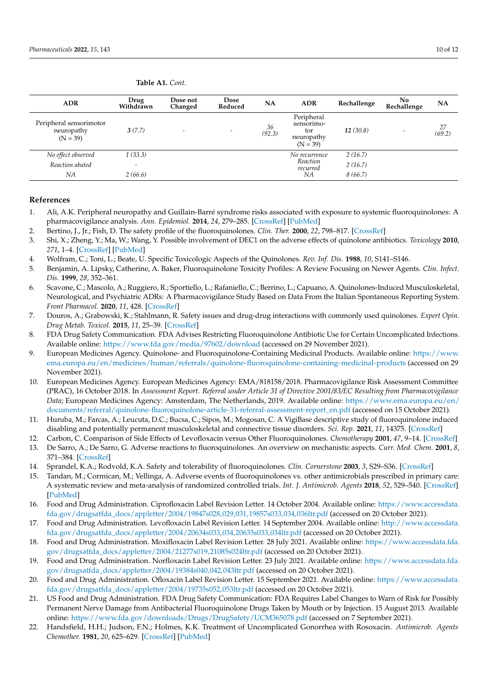| <b>ADR</b>                                          | Drug<br>Withdrawn        | Dose not<br>Changed      | <b>Dose</b><br>Reduced   | <b>NA</b>    | <b>ADR</b>                                                  | Rechallenge | No<br>Rechallenge        | NA           |
|-----------------------------------------------------|--------------------------|--------------------------|--------------------------|--------------|-------------------------------------------------------------|-------------|--------------------------|--------------|
| Peripheral sensorimotor<br>neuropathy<br>$(N = 39)$ | 3(7.7)                   | $\overline{\phantom{0}}$ | $\overline{\phantom{0}}$ | 36<br>(92.3) | Peripheral<br>sensorimo-<br>tor<br>neuropathy<br>$(N = 39)$ | 12(30.8)    | $\overline{\phantom{a}}$ | 27<br>(69.2) |
| No effect observed                                  | 1(33.3)                  |                          |                          |              | No recurrence                                               | 2(16.7)     |                          |              |
| Reaction abated                                     | $\overline{\phantom{0}}$ |                          |                          |              | Reaction<br>recurred                                        | 2(16.7)     |                          |              |
| ΝA                                                  | 2(66.6)                  |                          |                          |              | NА                                                          | 8(66.7)     |                          |              |

**Table A1.** *Cont.*

# **References**

- <span id="page-9-0"></span>1. Ali, A.K. Peripheral neuropathy and Guillain-Barré syndrome risks associated with exposure to systemic fluoroquinolones: A pharmacovigilance analysis. *Ann. Epidemiol.* **2014**, *24*, 279–285. [\[CrossRef\]](http://doi.org/10.1016/j.annepidem.2013.12.009) [\[PubMed\]](http://www.ncbi.nlm.nih.gov/pubmed/24472364)
- <span id="page-9-1"></span>2. Bertino, J., Jr.; Fish, D. The safety profile of the fluoroquinolones. *Clin. Ther.* **2000**, *22*, 798–817. [\[CrossRef\]](http://doi.org/10.1016/S0149-2918(00)80053-3)
- <span id="page-9-2"></span>3. Shi, X.; Zheng, Y.; Ma, W.; Wang, Y. Possible involvement of DEC1 on the adverse effects of quinolone antibiotics. *Toxicology* **2010**, *271*, 1–4. [\[CrossRef\]](http://doi.org/10.1016/j.tox.2010.03.001) [\[PubMed\]](http://www.ncbi.nlm.nih.gov/pubmed/20214949)
- <span id="page-9-3"></span>4. Wolfram, C.; Toni, L.; Beate, U. Specific Toxicologic Aspects of the Quinolones. *Rev. Inf. Dis.* **1988**, *10*, S141–S146.
- <span id="page-9-10"></span>5. Benjamin, A. Lipsky, Catherine, A. Baker, Fluoroquinolone Toxicity Profiles: A Review Focusing on Newer Agents. *Clin. Infect. Dis.* **1999**, *28*, 352–361.
- <span id="page-9-4"></span>6. Scavone, C.; Mascolo, A.; Ruggiero, R.; Sportiello, L.; Rafaniello, C.; Berrino, L.; Capuano, A. Quinolones-Induced Musculoskeletal, Neurological, and Psychiatric ADRs: A Pharmacovigilance Study Based on Data From the Italian Spontaneous Reporting System. *Front Pharmacol.* **2020**, *11*, 428. [\[CrossRef\]](http://doi.org/10.3389/fphar.2020.00428)
- <span id="page-9-5"></span>7. Douros, A.; Grabowski, K.; Stahlmann, R. Safety issues and drug-drug interactions with commonly used quinolones. *Expert Opin. Drug Metab. Toxicol.* **2015**, *11*, 25–39. [\[CrossRef\]](http://doi.org/10.1517/17425255.2014.970166)
- <span id="page-9-6"></span>8. FDA Drug Safety Communication. FDA Advises Restricting Fluoroquinolone Antibiotic Use for Certain Uncomplicated Infections. Available online: <https://www.fda.gov/media/97602/download> (accessed on 29 November 2021).
- <span id="page-9-7"></span>9. European Medicines Agency. Quinolone- and Fluoroquinolone-Containing Medicinal Products. Available online: [https://www.](https://www.ema.europa.eu/en/medicines/human/referrals/quinolone-fluoroquinolone-containing-medicinal-products) [ema.europa.eu/en/medicines/human/referrals/quinolone-fluoroquinolone-containing-medicinal-products](https://www.ema.europa.eu/en/medicines/human/referrals/quinolone-fluoroquinolone-containing-medicinal-products) (accessed on 29 November 2021).
- <span id="page-9-8"></span>10. European Medicines Agency. European Medicines Agency: EMA/818158/2018. Pharmacovigilance Risk Assessment Committee (PRAC), 16 October 2018. In *Assessment Report. Referral under Article 31 of Directive 2001/83/EC Resulting from Pharmacovigilance Data*; European Medicines Agency: Amsterdam, The Netherlands, 2019. Available online: [https://www.ema.europa.eu/en/](https://www.ema.europa.eu/en/documents/referral/quinolone-fluoroquinolone-article-31-referral-assessment-report_en.pdf) [documents/referral/quinolone-fluoroquinolone-article-31-referral-assessment-report\\_en.pdf](https://www.ema.europa.eu/en/documents/referral/quinolone-fluoroquinolone-article-31-referral-assessment-report_en.pdf) (accessed on 15 October 2021).
- <span id="page-9-9"></span>11. Huruba, M.; Farcas, A.; Leucuta, D.C.; Bucsa, C.; Sipos, M.; Mogosan, C. A VigiBase descriptive study of fluoroquinolone induced disabling and potentially permanent musculoskeletal and connective tissue disorders. *Sci. Rep.* **2021**, *11*, 14375. [\[CrossRef\]](http://doi.org/10.1038/s41598-021-93763-y)
- <span id="page-9-11"></span>12. Carbon, C. Comparison of Side Effects of Levofloxacin versus Other Fluoroquinolones. *Chemotherapy* **2001**, *47*, 9–14. [\[CrossRef\]](http://doi.org/10.1159/000057839)
- <span id="page-9-14"></span>13. De Sarro, A.; De Sarro, G. Adverse reactions to fluoroquinolones. An overview on mechanistic aspects. *Curr. Med. Chem.* **2001**, *8*, 371–384. [\[CrossRef\]](http://doi.org/10.2174/0929867013373435)
- <span id="page-9-12"></span>14. Sprandel, K.A.; Rodvold, K.A. Safety and tolerability of fluoroquinolones. *Clin. Cornerstone* **2003**, *3*, S29–S36. [\[CrossRef\]](http://doi.org/10.1016/S1098-3597(03)90027-5)
- <span id="page-9-13"></span>15. Tandan, M.; Cormican, M.; Vellinga, A. Adverse events of fluoroquinolones vs. other antimicrobials prescribed in primary care: A systematic review and meta-analysis of randomized controlled trials. *Int. J. Antimicrob. Agents* **2018**, *52*, 529–540. [\[CrossRef\]](http://doi.org/10.1016/j.ijantimicag.2018.04.014) [\[PubMed\]](http://www.ncbi.nlm.nih.gov/pubmed/29702230)
- <span id="page-9-15"></span>16. Food and Drug Administration. Ciprofloxacin Label Revision Letter. 14 October 2004. Available online: [https://www.accessdata.](https://www.accessdata.fda.gov/drugsatfda_docs/appletter/2004/19847s028,029,031,19857s033,034,036ltr.pdf) [fda.gov/drugsatfda\\_docs/appletter/2004/19847s028,029,031,19857s033,034,036ltr.pdf](https://www.accessdata.fda.gov/drugsatfda_docs/appletter/2004/19847s028,029,031,19857s033,034,036ltr.pdf) (accessed on 20 October 2021).
- 17. Food and Drug Administration. Levofloxacin Label Revision Letter. 14 September 2004. Available online: [http://www.accessdata.](http://www.accessdata.fda.gov/drugsatfda_docs/appletter/2004/20634s033,034,20635s033,034ltr.pdf) [fda.gov/drugsatfda\\_docs/appletter/2004/20634s033,034,20635s033,034ltr.pdf](http://www.accessdata.fda.gov/drugsatfda_docs/appletter/2004/20634s033,034,20635s033,034ltr.pdf) (accessed on 20 October 2021).
- 18. Food and Drug Administration. Moxifloxacin Label Revision Letter. 28 July 2021. Available online: [https://www.accessdata.fda.](https://www.accessdata.fda.gov/drugsatfda_docs/appletter/2004/21277s019,21085s024ltr.pdf) [gov/drugsatfda\\_docs/appletter/2004/21277s019,21085s024ltr.pdf](https://www.accessdata.fda.gov/drugsatfda_docs/appletter/2004/21277s019,21085s024ltr.pdf) (accessed on 20 October 2021).
- 19. Food and Drug Administration. Norfloxacin Label Revision Letter. 23 July 2021. Available online: [https://www.accessdata.fda.](https://www.accessdata.fda.gov/drugsatfda_docs/appletter/2004/19384s040,042,043ltr.pdf) [gov/drugsatfda\\_docs/appletter/2004/19384s040,042,043ltr.pdf](https://www.accessdata.fda.gov/drugsatfda_docs/appletter/2004/19384s040,042,043ltr.pdf) (accessed on 20 October 2021).
- <span id="page-9-16"></span>20. Food and Drug Administration. Ofloxacin Label Revision Letter. 15 September 2021. Available online: [https://www.accessdata.](https://www.accessdata.fda.gov/drugsatfda_docs/appletter/2004/19735s052,053ltr.pdf) [fda.gov/drugsatfda\\_docs/appletter/2004/19735s052,053ltr.pdf](https://www.accessdata.fda.gov/drugsatfda_docs/appletter/2004/19735s052,053ltr.pdf) (accessed on 20 October 2021).
- <span id="page-9-17"></span>21. US Food and Drug Administration. FDA Drug Safety Communication: FDA Requires Label Changes to Warn of Risk for Possibly Permanent Nerve Damage from Antibacterial Fluoroquinolone Drugs Taken by Mouth or by Injection. 15 August 2013. Available online: <https://www.fda.gov/downloads/Drugs/DrugSafety/UCM365078.pdf> (accessed on 7 September 2021).
- <span id="page-9-18"></span>22. Handsfield, H.H.; Judson, F.N.; Holmes, K.K. Treatment of Uncomplicated Gonorrhea with Rosoxacin. *Antimicrob. Agents Chemother.* **1981**, *20*, 625–629. [\[CrossRef\]](http://doi.org/10.1128/AAC.20.5.625) [\[PubMed\]](http://www.ncbi.nlm.nih.gov/pubmed/6798924)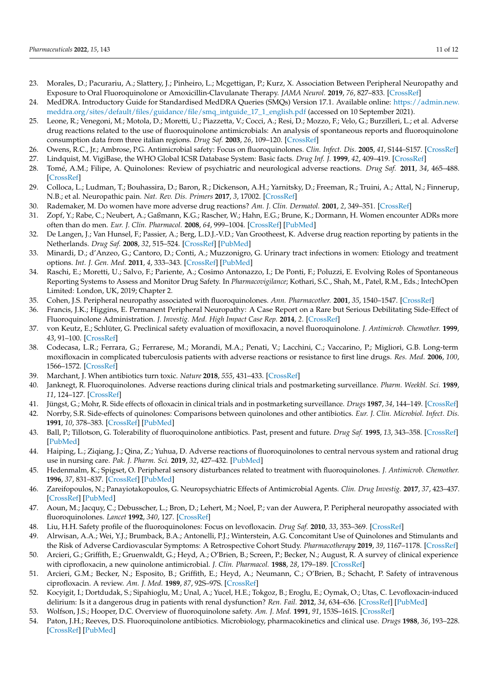- <span id="page-10-0"></span>23. Morales, D.; Pacurariu, A.; Slattery, J.; Pinheiro, L.; Mcgettigan, P.; Kurz, X. Association Between Peripheral Neuropathy and Exposure to Oral Fluoroquinolone or Amoxicillin-Clavulanate Therapy. *JAMA Neurol.* **2019**, *76*, 827–833. [\[CrossRef\]](http://doi.org/10.1001/jamaneurol.2019.0887)
- <span id="page-10-1"></span>24. MedDRA. Introductory Guide for Standardised MedDRA Queries (SMQs) Version 17.1. Available online: [https://admin.new.](https://admin.new.meddra.org/sites/default/files/guidance/file/smq_intguide_17_1_english.pdf) [meddra.org/sites/default/files/guidance/file/smq\\_intguide\\_17\\_1\\_english.pdf](https://admin.new.meddra.org/sites/default/files/guidance/file/smq_intguide_17_1_english.pdf) (accessed on 10 September 2021).
- <span id="page-10-2"></span>25. Leone, R.; Venegoni, M.; Motola, D.; Moretti, U.; Piazzetta, V.; Cocci, A.; Resi, D.; Mozzo, F.; Velo, G.; Burzilleri, L.; et al. Adverse drug reactions related to the use of fluoroquinolone antimicrobials: An analysis of spontaneous reports and fluoroquinolone consumption data from three italian regions. *Drug Saf.* **2003**, *26*, 109–120. [\[CrossRef\]](http://doi.org/10.2165/00002018-200326020-00004)
- <span id="page-10-3"></span>26. Owens, R.C., Jr.; Ambrose, P.G. Antimicrobial safety: Focus on fluoroquinolones. *Clin. Infect. Dis.* **2005**, *41*, S144–S157. [\[CrossRef\]](http://doi.org/10.1086/428055)
- <span id="page-10-4"></span>27. Lindquist, M. VigiBase, the WHO Global ICSR Database System: Basic facts. *Drug Inf. J.* **1999**, *42*, 409–419. [\[CrossRef\]](http://doi.org/10.1177/009286150804200501)
- <span id="page-10-5"></span>28. Tomé, A.M.; Filipe, A. Quinolones: Review of psychiatric and neurological adverse reactions. *Drug Saf.* **2011**, *34*, 465–488. [\[CrossRef\]](http://doi.org/10.2165/11587280-000000000-00000)
- <span id="page-10-6"></span>29. Colloca, L.; Ludman, T.; Bouhassira, D.; Baron, R.; Dickenson, A.H.; Yarnitsky, D.; Freeman, R.; Truini, A.; Attal, N.; Finnerup, N.B.; et al. Neuropathic pain. *Nat. Rev. Dis. Primers* **2017**, *3*, 17002. [\[CrossRef\]](http://doi.org/10.1038/nrdp.2017.2)
- <span id="page-10-7"></span>30. Rademaker, M. Do women have more adverse drug reactions? *Am. J. Clin. Dermatol.* **2001**, *2*, 349–351. [\[CrossRef\]](http://doi.org/10.2165/00128071-200102060-00001)
- <span id="page-10-8"></span>31. Zopf, Y.; Rabe, C.; Neubert, A.; Gaßmann, K.G.; Rascher, W.; Hahn, E.G.; Brune, K.; Dormann, H. Women encounter ADRs more often than do men. *Eur. J. Clin. Pharmacol.* **2008**, *64*, 999–1004. [\[CrossRef\]](http://doi.org/10.1007/s00228-008-0494-6) [\[PubMed\]](http://www.ncbi.nlm.nih.gov/pubmed/18604529)
- <span id="page-10-9"></span>32. De Langen, J.; Van Hunsel, F.; Passier, A.; Berg, L.D.J.-V.D.; Van Grootheest, K. Adverse drug reaction reporting by patients in the Netherlands. *Drug Saf.* **2008**, *32*, 515–524. [\[CrossRef\]](http://doi.org/10.2165/00002018-200831060-00006) [\[PubMed\]](http://www.ncbi.nlm.nih.gov/pubmed/18484785)
- <span id="page-10-10"></span>33. Minardi, D.; d'Anzeo, G.; Cantoro, D.; Conti, A.; Muzzonigro, G. Urinary tract infections in women: Etiology and treatment options. *Int. J. Gen. Med.* **2011**, *4*, 333–343. [\[CrossRef\]](http://doi.org/10.2147/IJGM.S11767) [\[PubMed\]](http://www.ncbi.nlm.nih.gov/pubmed/21674026)
- <span id="page-10-11"></span>34. Raschi, E.; Moretti, U.; Salvo, F.; Pariente, A.; Cosimo Antonazzo, I.; De Ponti, F.; Poluzzi, E. Evolving Roles of Spontaneous Reporting Systems to Assess and Monitor Drug Safety. In *Pharmacovigilance*; Kothari, S.C., Shah, M., Patel, R.M., Eds.; IntechOpen Limited: London, UK, 2019; Chapter 2.
- <span id="page-10-12"></span>35. Cohen, J.S. Peripheral neuropathy associated with fluoroquinolones. *Ann. Pharmacother.* **2001**, *35*, 1540–1547. [\[CrossRef\]](http://doi.org/10.1345/aph.1Z429)
- <span id="page-10-13"></span>36. Francis, J.K.; Higgins, E. Permanent Peripheral Neuropathy: A Case Report on a Rare but Serious Debilitating Side-Effect of Fluoroquinolone Administration. *J. Investig. Med. High Impact Case Rep.* **2014**, *2*. [\[CrossRef\]](http://doi.org/10.1177/2324709614545225)
- <span id="page-10-14"></span>37. von Keutz, E.; Schlüter, G. Preclinical safety evaluation of moxifloxacin, a novel fluoroquinolone. *J. Antimicrob. Chemother.* **1999**, *43*, 91–100. [\[CrossRef\]](http://doi.org/10.1093/jac/43.suppl_2.91)
- <span id="page-10-15"></span>38. Codecasa, L.R.; Ferrara, G.; Ferrarese, M.; Morandi, M.A.; Penati, V.; Lacchini, C.; Vaccarino, P.; Migliori, G.B. Long-term moxifloxacin in complicated tuberculosis patients with adverse reactions or resistance to first line drugs. *Res. Med.* **2006**, *100*, 1566–1572. [\[CrossRef\]](http://doi.org/10.1016/j.rmed.2006.01.002)
- <span id="page-10-16"></span>39. Marchant, J. When antibiotics turn toxic. *Nature* **2018**, *555*, 431–433. [\[CrossRef\]](http://doi.org/10.1038/d41586-018-03267-5)
- <span id="page-10-17"></span>40. Janknegt, R. Fluoroquinolones. Adverse reactions during clinical trials and postmarketing surveillance. *Pharm. Weekbl. Sci.* **1989**, *11*, 124–127. [\[CrossRef\]](http://doi.org/10.1007/BF01987956)
- <span id="page-10-22"></span>41. Jüngst, G.; Mohr, R. Side effects of ofloxacin in clinical trials and in postmarketing surveillance. *Drugs* **1987**, *34*, 144–149. [\[CrossRef\]](http://doi.org/10.2165/00003495-198700341-00031)
- <span id="page-10-19"></span>42. Norrby, S.R. Side-effects of quinolones: Comparisons between quinolones and other antibiotics. *Eur. J. Clin. Microbiol. Infect. Dis.* **1991**, *10*, 378–383. [\[CrossRef\]](http://doi.org/10.1007/BF01967014) [\[PubMed\]](http://www.ncbi.nlm.nih.gov/pubmed/1864300)
- <span id="page-10-26"></span>43. Ball, P.; Tillotson, G. Tolerability of fluoroquinolone antibiotics. Past, present and future. *Drug Saf.* **1995**, *13*, 343–358. [\[CrossRef\]](http://doi.org/10.2165/00002018-199513060-00004) [\[PubMed\]](http://www.ncbi.nlm.nih.gov/pubmed/8652079)
- <span id="page-10-18"></span>44. Haiping, L.; Ziqiang, J.; Qina, Z.; Yuhua, D. Adverse reactions of fluoroquinolones to central nervous system and rational drug use in nursing care. *Pak. J. Pharm. Sci.* **2019**, *32*, 427–432. [\[PubMed\]](http://www.ncbi.nlm.nih.gov/pubmed/30852480)
- <span id="page-10-20"></span>45. Hedenmalm, K.; Spigset, O. Peripheral sensory disturbances related to treatment with fluoroquinolones. *J. Antimicrob. Chemother.* **1996**, *37*, 831–837. [\[CrossRef\]](http://doi.org/10.1093/jac/37.4.831) [\[PubMed\]](http://www.ncbi.nlm.nih.gov/pubmed/8722551)
- <span id="page-10-21"></span>46. Zareifopoulos, N.; Panayiotakopoulos, G. Neuropsychiatric Effects of Antimicrobial Agents. *Clin. Drug Investig.* **2017**, *37*, 423–437. [\[CrossRef\]](http://doi.org/10.1007/s40261-017-0498-z) [\[PubMed\]](http://www.ncbi.nlm.nih.gov/pubmed/28197902)
- <span id="page-10-23"></span>47. Aoun, M.; Jacquy, C.; Debusscher, L.; Bron, D.; Lehert, M.; Noel, P.; van der Auwera, P. Peripheral neuropathy associated with fluoroquinolones. *Lancet* **1992**, *340*, 127. [\[CrossRef\]](http://doi.org/10.1016/0140-6736(92)90460-K)
- <span id="page-10-24"></span>48. Liu, H.H. Safety profile of the fluoroquinolones: Focus on levofloxacin. *Drug Saf.* **2010**, *33*, 353–369. [\[CrossRef\]](http://doi.org/10.2165/11536360-000000000-00000)
- <span id="page-10-25"></span>49. Alrwisan, A.A.; Wei, Y.J.; Brumback, B.A.; Antonelli, P.J.; Winterstein, A.G. Concomitant Use of Quinolones and Stimulants and the Risk of Adverse Cardiovascular Symptoms: A Retrospective Cohort Study. *Pharmacotherapy* **2019**, *39*, 1167–1178. [\[CrossRef\]](http://doi.org/10.1002/phar.2343)
- <span id="page-10-27"></span>50. Arcieri, G.; Griffith, E.; Gruenwaldt, G.; Heyd, A.; O'Brien, B.; Screen, P.; Becker, N.; August, R. A survey of clinical experience with ciprofloxacin, a new quinolone antimicrobial. *J. Clin. Pharmacol.* **1988**, *28*, 179–189. [\[CrossRef\]](http://doi.org/10.1002/j.1552-4604.1988.tb05741.x)
- 51. Arcieri, G.M.; Becker, N.; Esposito, B.; Griffith, E.; Heyd, A.; Neumann, C.; O'Brien, B.; Schacht, P. Safety of intravenous ciprofloxacin. A review. *Am. J. Med.* **1989**, *87*, 92S–97S. [\[CrossRef\]](http://doi.org/10.1016/0002-9343(89)90032-6)
- <span id="page-10-28"></span>52. Kocyigit, I.; Dortdudak, S.; Sipahioglu, M.; Unal, A.; Yucel, H.E.; Tokgoz, B.; Eroglu, E.; Oymak, O.; Utas, C. Levofloxacin-induced delirium: Is it a dangerous drug in patients with renal dysfunction? *Ren. Fail.* **2012**, *34*, 634–636. [\[CrossRef\]](http://doi.org/10.3109/0886022X.2012.660855) [\[PubMed\]](http://www.ncbi.nlm.nih.gov/pubmed/22390219)
- <span id="page-10-29"></span>53. Wolfson, J.S.; Hooper, D.C. Overview of fluoroquinolone safety. *Am. J. Med.* **1991**, *91*, 153S–161S. [\[CrossRef\]](http://doi.org/10.1016/0002-9343(91)90330-Z)
- <span id="page-10-30"></span>54. Paton, J.H.; Reeves, D.S. Fluoroquinolone antibiotics. Microbiology, pharmacokinetics and clinical use. *Drugs* **1988**, *36*, 193–228. [\[CrossRef\]](http://doi.org/10.2165/00003495-198836020-00004) [\[PubMed\]](http://www.ncbi.nlm.nih.gov/pubmed/3053126)